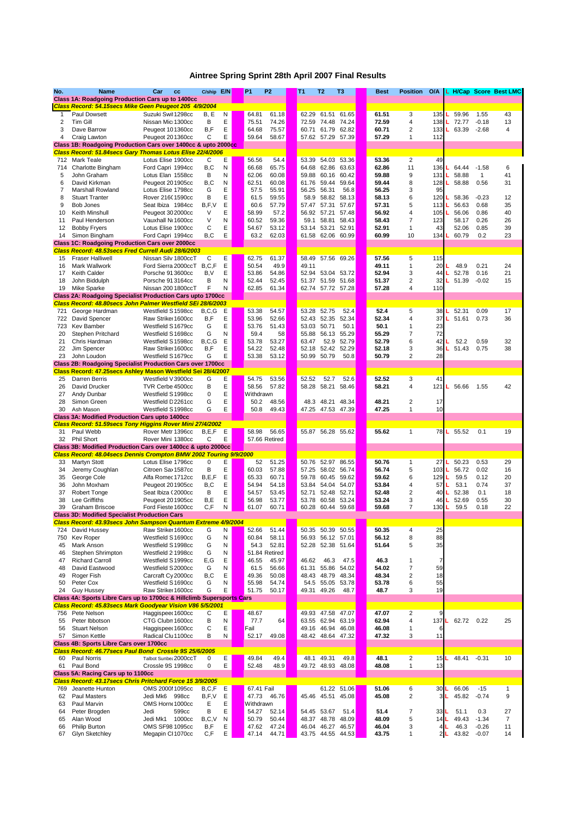| No.            | <b>Name</b>                                                                                                                       | Car<br>cc                                  | C/ship E/N   |                | <b>P1</b><br><b>P2</b>           | <b>T1</b> | T <sub>2</sub>      | T <sub>3</sub>                     | <b>Best</b>    | <b>Position</b>               | O/A        |                |                     | L H/Cap Score Best LMC |
|----------------|-----------------------------------------------------------------------------------------------------------------------------------|--------------------------------------------|--------------|----------------|----------------------------------|-----------|---------------------|------------------------------------|----------------|-------------------------------|------------|----------------|---------------------|------------------------|
|                | <b>Class 1A: Roadgoing Production Cars up to 1400cc</b><br>Class Record: 54.15secs Mike Geen Peugeot 205 4/9/2004                 |                                            |              |                |                                  |           |                     |                                    |                |                               |            |                |                     |                        |
| 1              | <b>Paul Dowsett</b>                                                                                                               | Suzuki Swil 1298cc                         | B, E         | N              | 64.81<br>61.18                   |           |                     | 62.29 61.51 61.65                  | 61.51          | 3                             | 135        | 59.96          | 1.55                | 43                     |
| $\overline{2}$ | <b>Tim Gill</b>                                                                                                                   | Nissan Mic 1300cc                          | B            | E              | 75.51<br>74.26                   |           | 72.59               | 74.48 74.24                        | 72.59          | 4                             | 138        | 72.77          | $-0.18$             | 13                     |
| 3              | Dave Barrow                                                                                                                       | Peugeot 101360cc                           | B, F         | E              | 75.57<br>64.68                   |           | 60.71               | 61.79 62.82                        | 60.71          | 2                             | 133        | 63.39          | $-2.68$             | 4                      |
| 4              | Craig Lawton                                                                                                                      | Peugeot 201360cc                           | C            | E              | 59.64<br>58.67                   |           |                     | 57.62 57.29 57.39                  | 57.29          | 1                             | 112        |                |                     |                        |
|                | Class 1B: Roadgoing Production Cars over 1400cc & upto 2000cc                                                                     |                                            |              |                |                                  |           |                     |                                    |                |                               |            |                |                     |                        |
|                | Class Record: 51.84secs Gary Thomas Lotus Elise 22/4/2006                                                                         |                                            |              |                |                                  |           |                     |                                    |                |                               |            |                |                     |                        |
| 712            | <b>Mark Teale</b>                                                                                                                 | Lotus Elise 1900cc                         | С            | Е              | 56.56<br>54.4                    |           | 53.39               | 54.03 53.36                        | 53.36          | $\overline{2}$                | 49         |                |                     |                        |
| 714            | Charlotte Bingham                                                                                                                 | Ford Capri 1994cc                          | B, C         | N              | 66.68<br>65.75                   |           | 64.68               | 62.86<br>63.63                     | 62.86          | 11                            | 136        | 64.44          | $-1.58$             | 6                      |
| 5<br>6         | John Graham<br>David Kirkman                                                                                                      | Lotus Elan 1558cc                          | B<br>B, C    | N<br>${\sf N}$ | 62.06<br>60.08<br>60.08<br>62.51 |           | 59.88<br>61.76      | 60.16 60.42<br>59.44 59.64         | 59.88<br>59.44 | 9<br>8                        | 131<br>128 | 58.88<br>58.88 | $\mathbf 1$<br>0.56 | 41<br>31               |
| 7              | <b>Marshall Rowland</b>                                                                                                           | Peugeot 201905cc<br>Lotus Elise 1798cc     | G            | E              | 55.91<br>57.5                    |           | 56.25               | 56.31<br>56.8                      | 56.25          | 3                             | 95         |                |                     |                        |
| 8              | <b>Stuart Tranter</b>                                                                                                             | Rover 216(1590cc                           | B            | E              | 59.55<br>61.5                    |           | 58.9                | 58.82<br>58.13                     | 58.13          | 6                             | 120        | 58.36          | $-0.23$             | 12                     |
| 9              | Bob Jones                                                                                                                         | Seat Ibiza 1984cc                          | B, F, V      | E              | 60.6<br>57.79                    |           | 57.47               | 57.67<br>57.31                     | 57.31          | 5                             | 113        | 56.63          | 0.68                | 35                     |
| 10             | <b>Keith Minshull</b>                                                                                                             | Peugeot 30 2000cc                          | V            | E              | 57.2<br>58.99                    |           | 56.92               | 57.21<br>57.48                     | 56.92          | 4                             | 105        | 56.06          | 0.86                | 40                     |
| 11             | Paul Henderson                                                                                                                    | Vauxhall No1600cc                          | V            | N              | 60.52<br>59.36                   |           | 59.1                | 58.81<br>58.43                     | 58.43          | 7                             | 123        | 58.17          | 0.26                | 26                     |
| 12             | <b>Bobby Fryers</b>                                                                                                               | Lotus Elise 1900cc                         | C            | E              | 54.67<br>53.12                   |           | 53.14               | 53.21<br>52.91                     | 52.91          | 1                             | 43         | 52.06          | 0.85                | 39                     |
| 14             | Simon Bingham                                                                                                                     | Ford Capri 1994cc                          | B,C          | E              | 63.2<br>62.03                    |           | 61.58               | 62.06 60.99                        | 60.99          | 10                            | 134        | 60.79          | 0.2                 | 23                     |
|                | <b>Class 1C: Roadgoing Production Cars over 2000cc</b>                                                                            |                                            |              |                |                                  |           |                     |                                    |                |                               |            |                |                     |                        |
|                | Class Record: 48.53secs Fred Currell Audi 28/6/2003                                                                               |                                            |              |                |                                  |           |                     |                                    |                |                               |            |                |                     |                        |
| 15             | <b>Fraser Halliwell</b>                                                                                                           | Nissan Silv 1800ccT                        | C            | E              | 61.37<br>62.75                   |           | 58.49               | 57.56 69.26                        | 57.56          | 5                             | 115        |                |                     |                        |
| 16             | Mark Wallwork                                                                                                                     | Ford Sierra 2000ccT                        | B, C, F      | E              | 50.54<br>49.9                    |           | 49.11               |                                    | 49.11          |                               | 20         | 48.9<br>52.78  | 0.21                | 24                     |
| 17<br>18       | <b>Keith Calder</b><br>John Biddulph                                                                                              | Porsche 91 3600cc<br>Porsche 913164cc      | B, V<br>В    | E<br>N         | 53.86<br>54.86<br>52.45<br>52.44 |           | 52.94<br>51.37      | 53.04 53.72<br>51.59 51.68         | 52.94<br>51.37 | 3<br>2                        | 44<br>32   | 51.39          | 0.16<br>$-0.02$     | 21<br>15               |
| 19             | <b>Mike Sparke</b>                                                                                                                | Nissan 200 1800ccT                         | F            | N              | 62.85<br>61.34                   |           |                     | 62.74 57.72 57.28                  | 57.28          | 4                             | 110        |                |                     |                        |
|                | <b>Class 2A: Roadgoing Specialist Production Cars upto 1700cc</b>                                                                 |                                            |              |                |                                  |           |                     |                                    |                |                               |            |                |                     |                        |
|                | Class Record: 48.80secs John Palmer Westfield SEi 28/6/2003                                                                       |                                            |              |                |                                  |           |                     |                                    |                |                               |            |                |                     |                        |
| 721            | George Hardman                                                                                                                    | Westfield S1598cc                          | B, C, G      | E              | 54.57<br>53.38                   |           | 53.28               | 52.4<br>52.75                      | 52.4           | 5                             | 38         | 52.31          | 0.09                | 17                     |
| 722            | David Spencer                                                                                                                     | Raw Strike 1600cc                          | B, F         | E              | 52.66<br>53.96                   |           | 52.43               | 52.35<br>52.34                     | 52.34          | 4                             | 37         | 51.61          | 0.73                | 36                     |
| 723            | <b>Kev Bamber</b>                                                                                                                 | Westfield S1679cc                          | G            | E              | 53.76<br>51.43                   |           | 53.03               | 50.1<br>50.71                      | 50.1           |                               | 23         |                |                     |                        |
| 20             | Stephen Pritchard                                                                                                                 | Westfield S1698cc                          | G            | Ν              | 58<br>59.4                       |           | 55.88               | 56.13<br>55.29                     | 55.29          | 7                             | 72         |                |                     |                        |
| 21             | Chris Hardman                                                                                                                     | Westfield S1598cc                          | B, C, G      | E              | 53.78<br>53.27                   |           | 63.47               | 52.9<br>52.79                      | 52.79          | 6                             | 42         | 52.2           | 0.59                | 32                     |
| 22             | Jim Spencer                                                                                                                       | Raw Strike 1600cc                          | B, F         | E              | 54.22<br>52.48                   |           | 52.18               | 52.42 52.29                        | 52.18          | 3                             | 36         | 51.43          | 0.75                | 38                     |
| 23             | John Loudon                                                                                                                       | Westfield S1679cc                          | G            | E              | 53.38<br>53.12                   |           | 50.99 50.79         | 50.8                               | 50.79          | $\overline{2}$                | 28         |                |                     |                        |
|                | <b>Class 2B: Roadgoing Specialist Production Cars over 1700cc</b><br>Class Record: 47.25secs Ashley Mason Westfield Sei 28/4/2007 |                                            |              |                |                                  |           |                     |                                    |                |                               |            |                |                     |                        |
| 25             | <b>Darren Berris</b>                                                                                                              | Westfield V3900cc                          | G            | Е              | 53.56<br>54.75                   |           | 52.52               | 52.6<br>52.7                       | 52.52          | 3                             | 41         |                |                     |                        |
| 26             | David Drucker                                                                                                                     | TVR Cerbe 4500cc                           | В            | E              | 58.56<br>57.82                   |           | 58.28 58.21         | 58.46                              | 58.21          | 4                             | 121        | 56.66          | 1.55                | 42                     |
| 27             | Andy Dunbar                                                                                                                       | Westfield S1998cc                          | $\mathbf 0$  | E              | Withdrawn                        |           |                     |                                    |                |                               |            |                |                     |                        |
| 28             | Simon Green                                                                                                                       | Westfield D2261cc                          | G            | E              | 50.2<br>48.56                    |           | 48.3 48.21          | 48.34                              | 48.21          | $\overline{2}$                | 17         |                |                     |                        |
| 30             | Ash Mason                                                                                                                         | Westfield S1998cc                          | G            | E              | 50.8<br>49.43                    |           |                     | 47.25 47.53 47.39                  | 47.25          | 1                             | 10         |                |                     |                        |
|                | <b>Class 3A: Modified Production Cars upto 1400cc</b>                                                                             |                                            |              |                |                                  |           |                     |                                    |                |                               |            |                |                     |                        |
|                | Class Record: 51.59secs Tony Higgins Rover Mini 27/4/2002                                                                         |                                            |              |                |                                  |           |                     |                                    |                |                               |            |                |                     |                        |
| 31<br>32       | Paul Webb<br><b>Phil Short</b>                                                                                                    | Rover Metr 1396cc<br>Rover Mini 1380cc     | B, E, F<br>C | Е<br>E         | 58.98<br>56.65<br>57.66 Retired  |           |                     | 55.87 56.28 55.62                  | 55.62          | $\mathbf 1$                   | 78 L       | 55.52          | 0.1                 | 19                     |
|                | Class 3B: Modified Production Cars over 1400cc & upto 2000cc                                                                      |                                            |              |                |                                  |           |                     |                                    |                |                               |            |                |                     |                        |
|                | Class Record: 48.04secs Dennis Crompton BMW 2002 Touring 9/9/2000                                                                 |                                            |              |                |                                  |           |                     |                                    |                |                               |            |                |                     |                        |
| 33             | <b>Martyn Stott</b>                                                                                                               | Lotus Elise 1796cc                         | 0            | E              | 52<br>51.25                      |           |                     | 50.76 52.97 86.55                  | 50.76          | 1                             | 27         | 50.23          | 0.53                | 29                     |
| 34             | Jeremy Coughlan                                                                                                                   | Citroen Sax 1587cc                         | В            | E              | 57.88<br>60.03                   |           |                     | 57.25 58.02 56.74                  | 56.74          | 5                             | 103        | 56.72          | 0.02                | 16                     |
| 35             | George Cole                                                                                                                       | Alfa Romec 1712cc                          | B, E, F      | E              | 65.33<br>60.71                   |           | 59.78               | 60.45 59.62                        | 59.62          | 6                             | 129        | 59.5           | 0.12                | 20                     |
| 36             | John Moxham                                                                                                                       | Peugeot 201905cc                           | B,C          | E              | 54.94<br>54.18                   |           |                     | 53.84 54.04 54.07                  | 53.84          | 4                             | 57         | 53.1           | 0.74                | 37                     |
| 37             | <b>Robert Tonge</b>                                                                                                               | Seat Ibiza (2000cc                         | B            | E              | 54.57<br>53.45                   |           | 52.71               | 52.48 52.71                        | 52.48          | $\overline{2}$                | 40         | 52.38          | 0.1                 | 18                     |
| 38             | Lee Griffiths                                                                                                                     | Peugeot 201905cc                           | B,E          | E              | 53.77<br>56.98                   |           |                     | 53.78 60.58 53.24                  | 53.24          | 3<br>$\overline{7}$           | 46         | 52.69          | 0.55                | 30                     |
| 39             | <b>Graham Briscoe</b><br><b>Class 3D: Modified Specialist Production Cars</b>                                                     | Ford Fieste 1600cc                         | C, F         | N              | 61.07<br>60.71                   |           |                     | 60.28 60.44 59.68                  | 59.68          |                               | 130        | 59.5           | 0.18                | 22                     |
|                | Class Record: 43.93secs John Sampson Quantum Extreme 4/9/2004                                                                     |                                            |              |                |                                  |           |                     |                                    |                |                               |            |                |                     |                        |
| 724            | David Hussey                                                                                                                      | Raw Strike 1600cc                          | G            | N              | 51.44<br>52.66                   |           |                     | 50.35 50.39 50.55                  | 50.35          | 4                             | 25         |                |                     |                        |
| 750            | Kev Roper                                                                                                                         | Westfield S1690cc                          | G            | ${\sf N}$      | 58.11<br>60.84                   |           | 56.93               | 56.12 57.01                        | 56.12          | 8                             | 88         |                |                     |                        |
| 45             | Mark Anson                                                                                                                        | Westfield S1998cc                          | G            | N              | 54.3<br>52.81                    |           |                     | 52.28 52.38 51.64                  | 51.64          | 5                             | 35         |                |                     |                        |
| 46             | Stephen Shrimpton                                                                                                                 | Westfield 2 1998cc                         | G            | N              | 51.84 Retired                    |           |                     |                                    |                |                               |            |                |                     |                        |
| 47             | <b>Richard Carroll</b>                                                                                                            | Westfield S1999cc                          | E,G          | E              | 46.55<br>45.97                   |           | 46.62               | 46.3<br>47.5                       | 46.3           |                               |            |                |                     |                        |
| 48             | David Eastwood                                                                                                                    | Westfield S2000cc                          | G            | N              | 61.5<br>56.66                    |           | 61.31               | 55.86<br>54.02                     | 54.02          | $\overline{7}$                | 59         |                |                     |                        |
| 49             | Roger Fish                                                                                                                        | Carcraft Cy 2000cc                         | B,C          | E              | 49.36<br>50.08                   |           | 48.43               | 48.79<br>48.34                     | 48.34          | $\overline{2}$                | 18         |                |                     |                        |
| 50<br>24       | Peter Cox<br><b>Guy Hussey</b>                                                                                                    | Westfield S1690cc<br>Raw Strike 1600cc     | G<br>G       | N<br>E         | 55.98<br>54.74<br>51.75<br>50.17 |           | 54.5<br>49.31 49.26 | 53.78<br>55.05<br>48.7             | 53.78<br>48.7  | 6<br>3                        | 55<br>19   |                |                     |                        |
|                | Class 4A: Sports Libre Cars up to 1700cc & Hillclimb Supersports Cars                                                             |                                            |              |                |                                  |           |                     |                                    |                |                               |            |                |                     |                        |
|                | Class Record: 45.83secs Mark Goodyear Vision V86 5/5/2001                                                                         |                                            |              |                |                                  |           |                     |                                    |                |                               |            |                |                     |                        |
|                | 756 Pete Nelson                                                                                                                   | Haggispee 1600cc                           | С            | E              | 48.67                            |           |                     | 49.93 47.58 47.07                  | 47.07          | $\overline{2}$                | 9          |                |                     |                        |
| 55             | Peter Ibbotson                                                                                                                    | CTG Clubn 1600cc                           | В            | N              | 77.7<br>64                       |           |                     | 63.55 62.94 63.19                  | 62.94          | 4                             | 137L       | 62.72          | 0.22                | 25                     |
| 56             | <b>Stuart Nelson</b>                                                                                                              | Haggispee 1600cc                           | C            | E              | Fail                             |           |                     | 49.16 46.94 46.08                  | 46.08          |                               | 6          |                |                     |                        |
| 57             | Simon Kettle                                                                                                                      | Radical Clu 1100cc                         | В            | N              | 52.17<br>49.08                   |           |                     | 48.42 48.64 47.32                  | 47.32          | 3                             | 11         |                |                     |                        |
|                | <b>Class 4B: Sports Libre Cars over 1700cc</b>                                                                                    |                                            |              |                |                                  |           |                     |                                    |                |                               |            |                |                     |                        |
|                | Class Record: 46.77 secs Paul Bond Crossle 9S 25/6/2005                                                                           |                                            |              |                |                                  |           |                     |                                    |                |                               |            |                |                     |                        |
| 60<br>61       | <b>Paul Norris</b><br>Paul Bond                                                                                                   | Talbot Sunbe: 2000ccT<br>Crossle 9S 1998cc | 0<br>0       | Ε<br>E         | 49.84<br>49.4<br>52.48<br>48.9   |           | 48.1                | 49.31<br>49.8<br>49.72 48.93 48.08 | 48.1<br>48.08  | $\overline{2}$<br>$\mathbf 1$ | 15L<br>13  | 48.41          | $-0.31$             | 10                     |
|                | Class 5A: Racing Cars up to 1100cc                                                                                                |                                            |              |                |                                  |           |                     |                                    |                |                               |            |                |                     |                        |
|                | Class Record: 43.17 secs Chris Pritchard Force 15 3/9/2005                                                                        |                                            |              |                |                                  |           |                     |                                    |                |                               |            |                |                     |                        |
| 769            | Jeanette Hunton                                                                                                                   | OMS 2000I 1095cc                           | B, C, F      | Е              | 67.41 Fail                       |           |                     | 61.22 51.06                        | 51.06          | 6                             | 30L        | 66.06          | $-15$               | $\mathbf{1}$           |
| 62             | <b>Paul Masters</b>                                                                                                               | Jedi Mk6<br>998cc                          | B, F, V      | E              | 47.73 46.76                      |           |                     | 45.46 45.51 45.08                  | 45.08          | $\overline{2}$                | 3L         | 45.82          | $-0.74$             | 9                      |
| 63             | Paul Marvin                                                                                                                       | OMS Horne 1000cc                           | Е            | E              | Withdrawn                        |           |                     |                                    |                |                               |            |                |                     |                        |
| 64             | Peter Brogden                                                                                                                     | Jedi<br>599cc                              | В            | E              | 54.27<br>52.14                   |           | 54.45 53.67         | 51.4                               | 51.4           | 7                             | 33L        | 51.1           | 0.3                 | 27                     |
| 65             | Alan Wood                                                                                                                         | Jedi Mk1<br>1000cc                         | B, C, V      | N              | 50.79<br>50.44                   |           | 48.37               | 48.78 48.09                        | 48.09          | 5                             | 14         | 49.43          | $-1.34$             | $\overline{7}$         |
| 66             | <b>Philip Burton</b>                                                                                                              | OMS SF98 1095cc                            | B, F         | E              | 47.62<br>47.24                   |           |                     | 46.04 46.27 46.57                  | 46.04          | 3                             | 4II        | 46.3           | $-0.26$             | 11                     |
| 67             | <b>Glyn Sketchley</b>                                                                                                             | Megapin CI 1070cc                          | C, F         | E              | 47.14<br>44.71                   |           |                     | 43.75 44.55 44.53                  | 43.75          |                               | 2L         | 43.82          | $-0.07$             | 14                     |

## **Aintree Spring Sprint 28th April 2007 Final Results**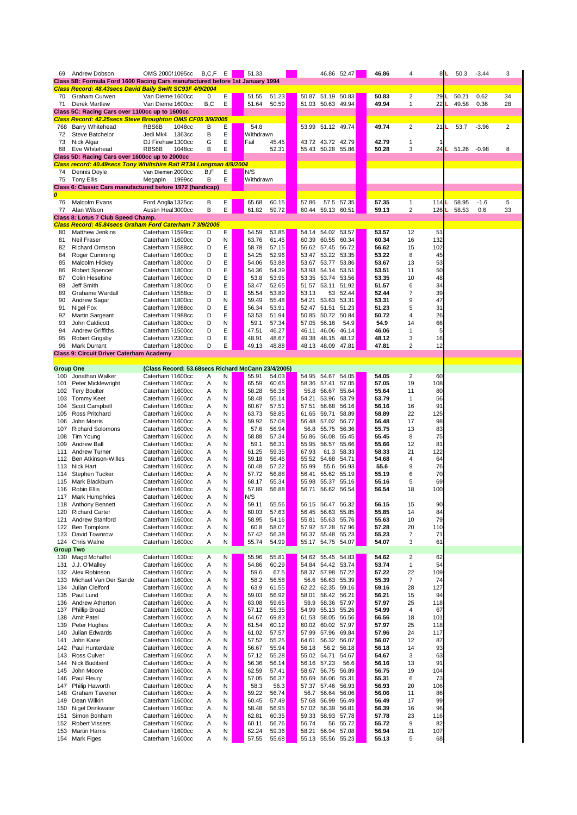| 69                                   | <b>Andrew Dobson</b>                                                           | OMS 2000I 1095cc                                   | B, C, F  | E           | 51.33          |                |                |                                  | 46.86 52.47 | 46.86          | 4              |                | 8L | 50.3  | $-3.44$ | 3              |
|--------------------------------------|--------------------------------------------------------------------------------|----------------------------------------------------|----------|-------------|----------------|----------------|----------------|----------------------------------|-------------|----------------|----------------|----------------|----|-------|---------|----------------|
|                                      | Class 5B: Formula Ford 1600 Racing Cars manufactured before 1st January 1994   |                                                    |          |             |                |                |                |                                  |             |                |                |                |    |       |         |                |
|                                      | Class Record: 48.43secs David Baily Swift SC93F 4/9/2004                       |                                                    |          |             |                |                |                |                                  |             |                |                |                |    |       |         |                |
| 70                                   | <b>Graham Curwen</b>                                                           | Van Dieme 1600cc                                   | $\Omega$ | Е           | 51.55          | 51.23          |                | 50.87 51.19 50.83                |             | 50.83          | $\overline{2}$ | 29             |    | 50.21 | 0.62    | 34             |
| 71                                   | <b>Derek Martlew</b>                                                           | Van Dieme 1600cc                                   | B,C      | E           | 51.64          | 50.59          |                | 51.03 50.63 49.94                |             | 49.94          | 1              | 22             |    | 49.58 | 0.36    | 28             |
|                                      | Class 5C: Racing Cars over 1100cc up to 1600cc                                 |                                                    |          |             |                |                |                |                                  |             |                |                |                |    |       |         |                |
|                                      | Class Record: 42.25secs Steve Broughton OMS CF05 3/9/2005                      |                                                    |          |             |                |                |                |                                  |             |                |                |                |    |       |         |                |
| 768                                  | <b>Barry Whitehead</b>                                                         | RBS6B<br>1048cc                                    | B        | E           | 54.8           |                |                | 53.99 51.12 49.74                |             | 49.74          | $\overline{2}$ | 21             |    | 53.7  | $-3.96$ | $\overline{2}$ |
| 72                                   | <b>Steve Batchelor</b>                                                         | Jedi Mk4<br>1363cc                                 | В        | E           | Withdrawn      |                |                |                                  |             |                |                |                |    |       |         |                |
| 73                                   | Nick Algar                                                                     | DJ Firehaw 1300cc                                  | G        | $\mathsf E$ | Fail           | 45.45          |                | 43.72 43.72 42.79                |             | 42.79          |                |                |    |       |         |                |
| 68                                   | Eve Whitehead                                                                  | RBS6B<br>1048cc                                    | В        | E           |                | 52.31          |                | 55.43 50.28 55.86                |             | 50.28          | 3              | 24             |    | 51.26 | $-0.98$ | 8              |
|                                      | Class 5D: Racing Cars over 1600cc up to 2000cc                                 |                                                    |          |             |                |                |                |                                  |             |                |                |                |    |       |         |                |
|                                      | Class record: 40.49secs Tony Whiltshire Ralt RT34 Longman 4/9/2004             |                                                    |          |             |                |                |                |                                  |             |                |                |                |    |       |         |                |
| 74                                   | Dennis Doyle                                                                   | Van Diemen 2000cc                                  | B,F      | Е           | N/S            |                |                |                                  |             |                |                |                |    |       |         |                |
| 75                                   | <b>Tony Ellis</b><br>Class 6: Classic Cars manufactured before 1972 (handicap) | 1999cc<br>Megapin                                  | B        | E           | Withdrawn      |                |                |                                  |             |                |                |                |    |       |         |                |
| $\overline{\boldsymbol{\mathit{o}}}$ |                                                                                |                                                    |          |             |                |                |                |                                  |             |                |                |                |    |       |         |                |
| 76                                   | Malcolm Evans                                                                  | Ford Anglia 1325cc                                 | В        | E           | 65.68          | 60.15          | 57.86          |                                  | 57.5 57.35  | 57.35          | 1              | 114            |    | 58.95 | $-1.6$  | 5              |
| 77                                   | Alan Wilson                                                                    | Austin Heal 3000cc                                 | B        | E           | 61.82          | 59.72          |                | 60.44 59.13 60.51                |             | 59.13          | $\overline{2}$ | 126            |    | 58.53 | 0.6     | 33             |
|                                      | Class 8: Lotus 7 Club Speed Champ.                                             |                                                    |          |             |                |                |                |                                  |             |                |                |                |    |       |         |                |
|                                      | Class Record: 45.84 secs Graham Ford Caterham 7 3/9/2005                       |                                                    |          |             |                |                |                |                                  |             |                |                |                |    |       |         |                |
| 80                                   | <b>Matthew Jenkins</b>                                                         | Caterham 71599cc                                   | D        | E           | 54.59          | 53.85          |                | 54.14 54.02 53.57                |             | 53.57          | 12             | 51             |    |       |         |                |
| 81                                   | <b>Neil Fraser</b>                                                             | Caterham 71600cc                                   | D        | N           | 63.76          | 61.45          |                | 60.39 60.55 60.34                |             | 60.34          | 16             | 132            |    |       |         |                |
| 82                                   | <b>Richard Ormson</b>                                                          | Caterham 71588cc                                   | D        | E           | 58.78          | 57.15          |                | 56.62 57.45 56.72                |             | 56.62          | 15             | 102            |    |       |         |                |
| 84                                   | Roger Cumming                                                                  | Caterham 71600cc                                   | D        | $\mathsf E$ | 54.25          | 52.96          | 53.47          | 53.22 53.35                      |             | 53.22          | 8              | 45             |    |       |         |                |
| 85                                   | Malcolm Hickey                                                                 | Caterham 71800cc                                   | D        | E           | 54.06          | 53.88          | 53.67          | 53.77 53.86                      |             | 53.67          | 13             | 53             |    |       |         |                |
| 86                                   | <b>Robert Spencer</b>                                                          | Caterham 71800cc                                   | D        | E           | 54.36          | 54.39          | 53.93          | 54.14 53.51                      |             | 53.51          | 11             | 50             |    |       |         |                |
| 87                                   | <b>Colin Heseltine</b>                                                         | Caterham 71600cc                                   | D        | E           | 53.8           | 53.95          |                | 53.35 53.74 53.56                |             | 53.35          | 10             | 48             |    |       |         |                |
| 88                                   | Jeff Smith                                                                     | Caterham 71800cc                                   | D        | $\mathsf E$ | 53.47          | 52.65          | 51.57          | 53.11 51.92                      |             | 51.57          | 6              | 34             |    |       |         |                |
| 89                                   | <b>Grahame Wardall</b>                                                         | Caterham 71558cc                                   | D        | E           | 55.54          | 53.89          | 53.13          |                                  | 53 52.44    | 52.44          | $\overline{7}$ | 39             |    |       |         |                |
| 90                                   | Andrew Sagar                                                                   | Caterham 71800cc                                   | D        | N           | 59.49          | 55.48          | 54.21          |                                  | 53.63 53.31 | 53.31          | 9              | 47             |    |       |         |                |
| 91                                   | Nigel Fox                                                                      | Caterham 71988cc                                   | D        | E           | 56.34          | 53.91          | 52.47          | 51.51 51.23                      |             | 51.23          | 5              | 31             |    |       |         |                |
| 92                                   | <b>Martin Sargeant</b>                                                         | Caterham 71988cc                                   | D        | E           | 53.53          | 51.94          |                | 50.85 50.72 50.84                |             | 50.72          | 4              | 26             |    |       |         |                |
| 93                                   | <b>John Caldicott</b>                                                          | Caterham 71800cc                                   | D        | N           | 59.1           | 57.34          | 57.05          | 56.16                            | 54.9        | 54.9           | 14             | 66             |    |       |         |                |
| 94                                   | <b>Andrew Griffiths</b>                                                        | Caterham 71500cc                                   | D        | E           | 47.51          | 46.27          | 46.11          | 46.06 46.14                      |             | 46.06          | 1              | 5 <sub>l</sub> |    |       |         |                |
| 95                                   | <b>Robert Grigsby</b>                                                          | Caterham 72300cc                                   | D        | E           | 48.91          | 48.67          |                | 49.38 48.15 48.12                |             | 48.12          | 3              | 16             |    |       |         |                |
| 96                                   | <b>Mark Durrant</b>                                                            | Caterham 71800cc                                   | D        | E           | 49.13          | 48.88          |                | 48.13 48.09 47.81                |             | 47.81          | 2              | 12             |    |       |         |                |
|                                      | <b>Class 9: Circuit Driver Caterham Academy</b>                                |                                                    |          |             |                |                |                |                                  |             |                |                |                |    |       |         |                |
|                                      |                                                                                |                                                    |          |             |                |                |                |                                  |             |                |                |                |    |       |         |                |
| <b>Group One</b>                     |                                                                                | (Class Record: 53.68secs Richard McCann 23/4/2005) |          |             |                |                |                |                                  |             |                |                |                |    |       |         |                |
|                                      | 100 Jonathan Walker                                                            | Caterham 71600cc                                   | A        | N           | 55.91          | 54.03          |                | 54.95 54.67 54.05                |             | 54.05          | $\overline{2}$ | 60             |    |       |         |                |
| 101                                  | Peter Micklewright                                                             | Caterham 71600cc                                   | A        | N           | 65.59          | 60.65          | 58.36          | 57.41 57.05                      |             | 57.05          | 19             | 108            |    |       |         |                |
| 102                                  | <b>Tery Boulter</b>                                                            | Caterham 71600cc                                   | Α        | N           | 58.28          | 56.38          | 55.8           | 56.67 55.64                      |             | 55.64          | 11             | 80             |    |       |         |                |
| 103                                  | <b>Tommy Keet</b>                                                              | Caterham 71600cc                                   | Α        | N           | 58.48          | 55.14          | 54.21          | 53.96 53.79                      |             | 53.79          |                | 56             |    |       |         |                |
| 104                                  | Scott Campbell                                                                 | Caterham 71600cc                                   | Α        | N           | 60.67          | 57.51          | 57.51          | 56.68                            | 56.16       | 56.16          | 16             | 91             |    |       |         |                |
| 105                                  | <b>Ross Pritchard</b>                                                          | Caterham 71600cc                                   | Α        | N           | 63.73          | 58.85          | 61.65          | 59.71                            | 58.89       | 58.89          | 22             | 125            |    |       |         |                |
| 106                                  | John Morris                                                                    | Caterham 71600cc                                   | Α        | N           | 59.92          | 57.08          | 56.48          | 57.02                            | 56.77       | 56.48          | 17             | 98             |    |       |         |                |
| 107                                  | <b>Richard Solomons</b>                                                        | Caterham 71600cc                                   | Α        | N           | 57.6           | 56.94          | 56.8           | 55.75                            | 56.36       | 55.75          | 13             | 83             |    |       |         |                |
| 108                                  | Tim Young                                                                      | Caterham 71600cc                                   | Α        | N           | 58.88          | 57.34          | 56.86          | 56.08                            | 55.45       | 55.45          | 8              | 75             |    |       |         |                |
| 109                                  | <b>Andrew Ball</b>                                                             | Caterham 71600cc                                   | A        | N           | 59.1           | 56.31          | 55.95          | 56.57 55.66                      |             | 55.66          | 12             | 81             |    |       |         |                |
| 111                                  | <b>Andrew Turner</b>                                                           | Caterham 71600cc                                   | Α        | N           | 61.25          | 59.35<br>56.46 | 67.93          | 61.3<br>54.68 54.71              | 58.33       | 58.33          | 21             | 122            |    |       |         |                |
| 112<br>113                           | <b>Ben Atkinson-Willes</b><br><b>Nick Hart</b>                                 | Caterham 71600cc<br>Caterham 71600cc               | Α        | N           | 59.18<br>60.48 | 57.22          | 55.52<br>55.99 |                                  | 55.6 56.93  | 54.68<br>55.6  | 4              | 64<br>76       |    |       |         |                |
| 114                                  | Stephen Tucker                                                                 | Caterham 71600cc                                   | A<br>Α   | N<br>N      | 57.72          | 56.88          | 56.41          | 55.62 55.19                      |             | 55.19          | 9<br>6         | 70             |    |       |         |                |
| 115                                  | Mark Blackburn                                                                 | Caterham 71600cc                                   |          | N           | 68.17          | 55.34          | 55.98          | 55.37 55.16                      |             | 55.16          | 5              | 69             |    |       |         |                |
| 116                                  | Robin Ellis                                                                    | Caterham 71600cc                                   | A<br>A   | N           | 57.89          | 56.88          | 56.71          | 56.62 56.54                      |             | 56.54          | 18             | 100            |    |       |         |                |
| 117                                  | <b>Mark Humphries</b>                                                          | Caterham 71600cc                                   | A        | N           | N/S            |                |                |                                  |             |                |                |                |    |       |         |                |
| 118                                  | <b>Anthony Bennett</b>                                                         | Caterham 71600cc                                   | Α        | N           | 59.11          | 55.56          |                | 56.15 56.47 56.32                |             | 56.15          | 15             | 90             |    |       |         |                |
| 120                                  | <b>Richard Carter</b>                                                          | Caterham 71600cc                                   | Α        | N           | 60.03          | 57.63          |                | 56.45 56.63 55.85                |             | 55.85          | 14             | 84             |    |       |         |                |
| 121                                  | <b>Andrew Stanford</b>                                                         | Caterham 71600cc                                   | A        | N           | 58.95          | 54.16          | 55.81          | 55.63 55.76                      |             | 55.63          | 10             | 79             |    |       |         |                |
| 122                                  | <b>Ben Tompkins</b>                                                            | Caterham 71600cc                                   | Α        | N           | 60.8           | 58.07          |                | 57.92 57.28 57.96                |             | 57.28          | 20             | 110            |    |       |         |                |
| 123                                  | David Townrow                                                                  | Caterham 71600cc                                   | Α        | N           | 57.42          | 56.38          | 56.37          | 55.48 55.23                      |             | 55.23          | 7              | 71             |    |       |         |                |
| 124                                  | <b>Chris Walne</b>                                                             | Caterham 71600cc                                   | A        | N           | 55.74          | 54.99          |                | 55.17 54.75 54.07                |             | 54.07          | 3              | 61             |    |       |         |                |
| <b>Group Two</b>                     |                                                                                |                                                    |          |             |                |                |                |                                  |             |                |                |                |    |       |         |                |
| 130                                  | Magd Mohaffel                                                                  | Caterham 71600cc                                   | A        | N           | 55.96          | 55.81          |                | 54.62 55.45 54.83                |             | 54.62          | 2              | 62             |    |       |         |                |
| 131                                  | J.J. O'Malley                                                                  | Caterham 71600cc                                   | Α        | N           | 54.86          | 60.29          |                | 54.84 54.42 53.74                |             | 53.74          | 1              | 54             |    |       |         |                |
| 132                                  | Alex Robinson                                                                  | Caterham 71600cc                                   | A        | N           | 59.6           | 67.5           | 58.37          | 57.98 57.22                      |             | 57.22          | 22             | 109            |    |       |         |                |
| 133                                  | Michael Van Der Sande                                                          | Caterham 71600cc                                   | A        | N           | 58.2           | 56.58          | 56.6           | 56.63 55.39                      |             | 55.39          | $\overline{7}$ | 74             |    |       |         |                |
| 134                                  | Julian Clelford                                                                | Caterham 71600cc                                   | A        | N           | 63.9           | 61.55          | 62.22          | 62.35 59.16                      |             | 59.16          | 28             | 127            |    |       |         |                |
| 135                                  | Paul Lund                                                                      | Caterham 71600cc                                   | Α        | Ν           | 59.03          | 56.92          | 58.01          | 56.42 56.21                      |             | 56.21          | 15             | 94             |    |       |         |                |
| 136                                  | <b>Andrew Atherton</b>                                                         | Caterham 71600cc                                   | A        | N           | 63.08          | 59.65          | 59.9           | 58.36 57.97                      |             | 57.97          | 25             | 118            |    |       |         |                |
| 137                                  | <b>Phillip Broad</b>                                                           | Caterham 71600cc                                   | A        | N           | 57.12          | 55.35          | 54.99          | 55.13 55.26                      |             | 54.99          | 4              | 67             |    |       |         |                |
| 138                                  | <b>Amit Patel</b>                                                              | Caterham 71600cc                                   | A        | N           | 64.67          | 69.83          | 61.53          | 58.05 56.56                      |             | 56.56          | 18             | 101            |    |       |         |                |
| 139                                  | Peter Hughes                                                                   | Caterham 71600cc                                   | A        | N           | 61.54          | 60.12          | 60.02          | 60.02 57.97                      |             | 57.97          | 25             | 118            |    |       |         |                |
| 140                                  | Julian Edwards                                                                 | Caterham 71600cc                                   | A        | N           | 61.02          | 57.57          | 57.99          | 57.96 69.84                      |             | 57.96          | 24             | 117            |    |       |         |                |
| 141                                  | John Kane                                                                      | Caterham 71600cc                                   | A        | N           | 57.52          | 55.25          | 64.61          |                                  | 56.32 56.07 | 56.07          | 12             | 87             |    |       |         |                |
| 142                                  | Paul Hunterdale                                                                | Caterham 71600cc                                   | A        | N           | 56.67          | 55.94          | 56.18          |                                  | 56.2 56.18  | 56.18          | 14             | 93             |    |       |         |                |
| 143                                  | <b>Ross Culver</b>                                                             | Caterham 71600cc                                   | A        | N           | 57.12          | 55.28          | 55.02          | 54.71 54.67                      |             | 54.67          | 3              | 63             |    |       |         |                |
| 144                                  | <b>Nick Budibent</b>                                                           | Caterham 71600cc                                   | A        | N           | 56.36          | 56.14          | 56.16          | 57.23                            | 56.6        | 56.16          | 13             | 91             |    |       |         |                |
| 145                                  | John Moore                                                                     | Caterham 71600cc                                   | A        | N           | 62.59          | 57.41          | 58.67          | 56.75                            | 56.89       | 56.75          | 19             | 104            |    |       |         |                |
| 146                                  | Paul Fleury                                                                    | Caterham 71600cc                                   | A        | N           | 57.05          | 56.37          | 55.69          | 56.06                            | 55.31       | 55.31          | 6              | 73             |    |       |         |                |
| 147                                  | Philip Haworth                                                                 | Caterham 71600cc                                   | A        | N           | 58.3           | 56.3           | 57.37          | 57.46                            | 56.93       | 56.93          | 20             | 106            |    |       |         |                |
| 148                                  | <b>Graham Tavener</b>                                                          | Caterham 71600cc                                   | A        | N           | 59.22          | 56.74          | 56.7           | 56.64 56.06                      |             | 56.06          | 11             | 86             |    |       |         |                |
| 149                                  | Dean Wilkin                                                                    | Caterham 71600cc                                   | A        | N           | 60.45          | 57.49          | 57.68          | 56.99 56.49                      |             | 56.49          | 17             | 99             |    |       |         |                |
| 150                                  | Nigel Drinkwater                                                               | Caterham 71600cc                                   | A        | N           | 58.48          | 56.95          | 57.02          | 56.39                            | 56.81       | 56.39          | 16             | 96             |    |       |         |                |
| 151                                  | Simon Bonham                                                                   | Caterham 71600cc                                   | A        | N           | 62.81          | 60.35          | 59.33          | 58.93                            | 57.78       | 57.78          | 23             | 116            |    |       |         |                |
| 152                                  | <b>Robert Vissers</b><br><b>Martin Harris</b>                                  | Caterham 71600cc                                   | A        | N           | 60.11          | 56.76          | 56.74          | 56                               | 55.72       | 55.72          | 9              | 82             |    |       |         |                |
| 153                                  | 154 Mark Figes                                                                 | Caterham 71600cc<br>Caterham 71600cc               | A<br>Α   | N<br>N      | 62.24<br>57.55 | 59.36<br>55.68 | 58.21          | 56.94 57.08<br>55.13 55.56 55.23 |             | 56.94<br>55.13 | 21<br>5        | 107<br>68      |    |       |         |                |
|                                      |                                                                                |                                                    |          |             |                |                |                |                                  |             |                |                |                |    |       |         |                |